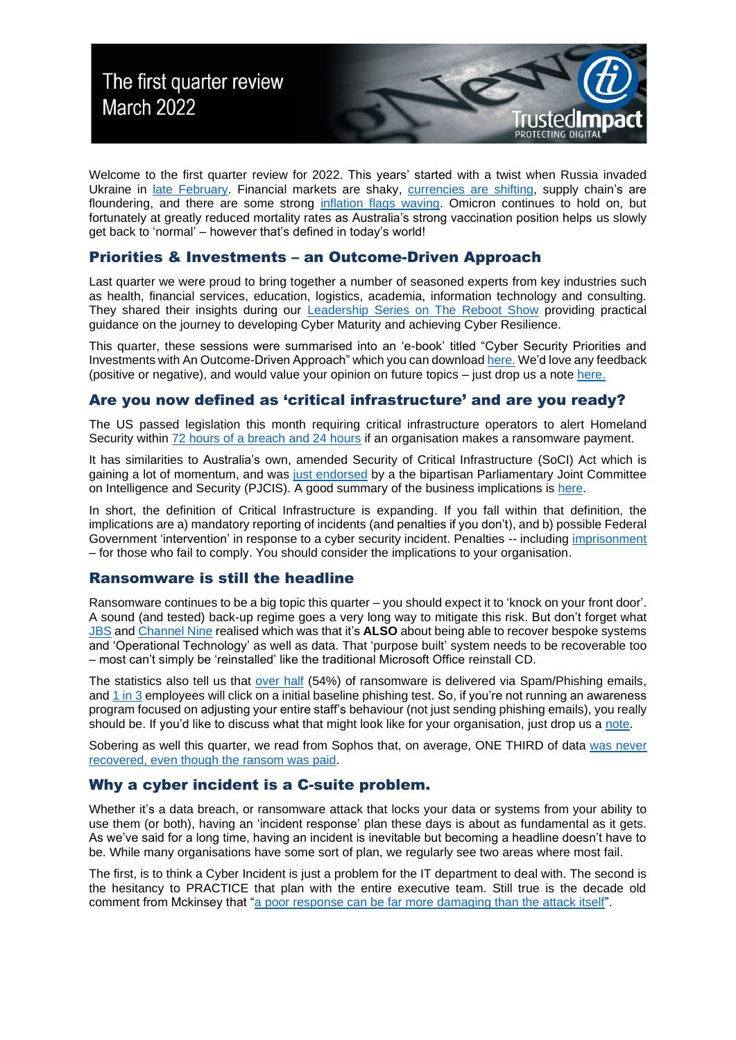

Welcome to the first quarter review for 2022. This years' started with a twist when Russia invaded Ukraine in [late February.](https://en.wikipedia.org/wiki/2022_Russian_invasion_of_Ukraine) Financial markets are shaky, [currencies are shifting,](https://www.ofx.com/en-au/forex-news/articles/geopolitical-shocks-and-currencies/) supply chain's are floundering, and there are some strong [inflation flags waving.](https://www.ey.com/en_au/economics/is-australia-on-the-brink-of-a-high-inflation-cycle) Omicron continues to hold on, but fortunately at greatly reduced mortality rates as Australia's strong vaccination position helps us slowly get back to 'normal' – however that's defined in today's world!

### Priorities & Investments – an Outcome-Driven Approach

Last quarter we were proud to bring together a number of seasoned experts from key industries such as health, financial services, education, logistics, academia, information technology and consulting. They shared their insights during our [Leadership Series on The Reboot Show](https://spotlight.therebootshow.com/trustedimpact-cyber-security-leadership-series-cct) providing practical guidance on the journey to developing Cyber Maturity and achieving Cyber Resilience.

This quarter, these sessions were summarised into an 'e-book' titled "Cyber Security Priorities and Investments with An Outcome-Driven Approach" which you can downloa[d here.](http://trustedimpact.com/pdfs/TrustedImpact%20Cyber%20Security%20Priorities%20-%20an%20Outcome-Driven%20Approach.pdf) We'd love any feedback (positive or negative), and would value your opinion on future topics – just drop us a note [here.](mailto:info@trustedimpact.com?subject=Feedback%20and/or%20ideas%20for%20the%20reboot%20show)

# Are you now defined as 'critical infrastructure' and are you ready?

The US passed legislation this month requiring critical infrastructure operators to alert Homeland Security within [72 hours of a breach](https://therecord.media/biden-signs-cyber-incident-reporting-bill-into-law/) and 24 hours if an organisation makes a ransomware payment.

It has similarities to Australia's own, amended Security of Critical Infrastructure (SoCI) Act which is gaining a lot of momentum, and was [just endorsed](https://parlinfo.aph.gov.au/parlInfo/download/committees/reportjnt/024898/toc_pdf/AdvisoryreportontheSecurityLegislationAmendment(CriticalInfrastructureProtection)Bill2022.pdf;fileType=application%2Fpdf) by a the bipartisan Parliamentary Joint Committee on Intelligence and Security (PJCIS). A good summary of the business implications is [here.](https://www.gtlaw.com.au/knowledge/security-critical-infrastructure-act-soci-reforms-what-your-business-needs-know)

In short, the definition of Critical Infrastructure is expanding. If you fall within that definition, the implications are a) mandatory reporting of incidents (and penalties if you don't), and b) possible Federal Government 'intervention' in response to a cyber security incident. Penalties -- including [imprisonment](https://www.gtlaw.com.au/knowledge/security-critical-infrastructure-act-soci-reforms-what-your-business-needs-know) – for those who fail to comply. You should consider the implications to your organisation.

# Ransomware is still the headline

Ransomware continues to be a big topic this quarter – you should expect it to 'knock on your front door'. A sound (and tested) back-up regime goes a very long way to mitigate this risk. But don't forget what [JBS](https://en.wikipedia.org/wiki/JBS_S.A._cyberattack) and [Channel Nine](https://theconversation.com/holding-the-news-to-ransom-what-we-know-so-far-about-the-channel-9-cyber-attack-158069) realised which was that it's **ALSO** about being able to recover bespoke systems and 'Operational Technology' as well as data. That 'purpose built' system needs to be recoverable too – most can't simply be 'reinstalled' like the traditional Microsoft Office reinstall CD.

The statistics also tell us that [over half](https://www.statista.com/statistics/700965/leading-cause-of-ransomware-infection/) (54%) of ransomware is delivered via Spam/Phishing emails, and  $1$  in 3 employees will click on a initial baseline phishing test. So, if you're not running an awareness program focused on adjusting your entire staff's behaviour (not just sending phishing emails), you really should be. If you'd like to discuss what that might look like for your organisation, just drop us a [note.](mailto:info@trustedimpact.com?subject=I%20want%20to%20know%20more%20about%20changing%20behaviour%20with%20security%20awareness.)

Sobering as well this quarter, we read from Sophos that, on average, ONE THIRD of data [was never](https://assets.sophos.com/X24WTUEQ/at/k4qjqs73jk9256hffhqsmf/sophos-state-of-ransomware-2021-wp.pdf)  [recovered, even though the ransom was paid.](https://assets.sophos.com/X24WTUEQ/at/k4qjqs73jk9256hffhqsmf/sophos-state-of-ransomware-2021-wp.pdf)

### Why a cyber incident is a C-suite problem.

Whether it's a data breach, or ransomware attack that locks your data or systems from your ability to use them (or both), having an 'incident response' plan these days is about as fundamental as it gets. As we've said for a long time, having an incident is inevitable but becoming a headline doesn't have to be. While many organisations have some sort of plan, we regularly see two areas where most fail.

The first, is to think a Cyber Incident is just a problem for the IT department to deal with. The second is the hesitancy to PRACTICE that plan with the entire executive team. Still true is the decade old comment from Mckinsey that ["a poor response can be far more damaging than the attack itself"](https://www.mckinsey.com/business-functions/mckinsey-digital/our-insights/playing-war-games-to-prepare-for-a-cyberattack).